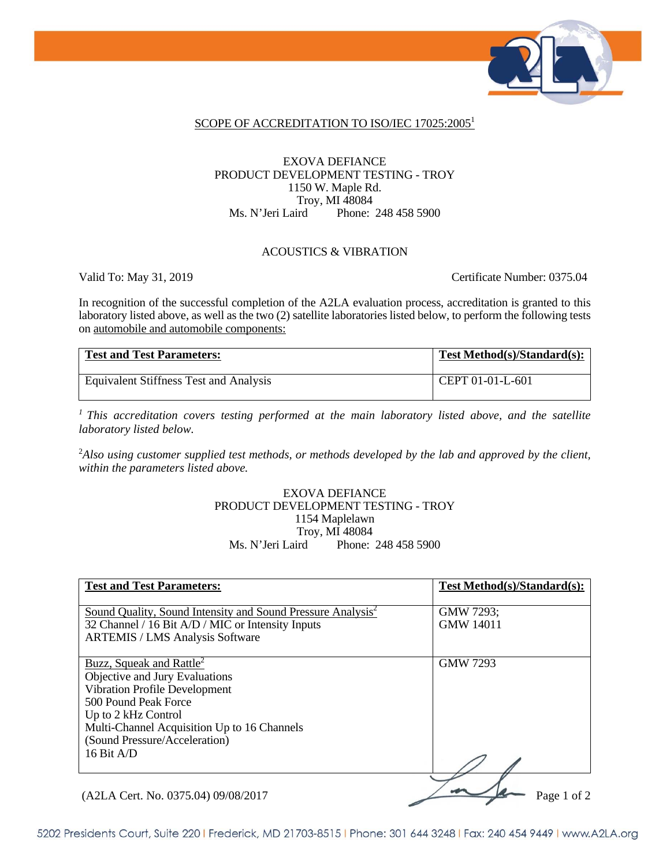

#### SCOPE OF ACCREDITATION TO ISO/IEC 17025:2005<sup>1</sup>

#### EXOVA DEFIANCE PRODUCT DEVELOPMENT TESTING - TROY 1150 W. Maple Rd. Troy, MI 48084<br>Ms. N'Jeri Laird Phone: Phone: 248 458 5900

#### ACOUSTICS & VIBRATION

Valid To: May 31, 2019 Certificate Number: 0375.04

In recognition of the successful completion of the A2LA evaluation process, accreditation is granted to this laboratory listed above, as well as the two (2) satellite laboratories listed below, to perform the following tests on automobile and automobile components:

| <b>Test and Test Parameters:</b>       | Test Method(s)/Standard(s): |
|----------------------------------------|-----------------------------|
| Equivalent Stiffness Test and Analysis | CEPT 01-01-L-601            |

*1 This accreditation covers testing performed at the main laboratory listed above, and the satellite laboratory listed below.* 

2 *Also using customer supplied test methods, or methods developed by the lab and approved by the client, within the parameters listed above.* 

#### EXOVA DEFIANCE PRODUCT DEVELOPMENT TESTING - TROY 1154 Maplelawn Troy, MI 48084<br>Ms. N'Jeri Laird Phone: Phone: 248 458 5900

| <b>Test and Test Parameters:</b>                                                                                             | Test Method(s)/Standard(s):   |
|------------------------------------------------------------------------------------------------------------------------------|-------------------------------|
| Sound Quality, Sound Intensity and Sound Pressure Analysis <sup>2</sup><br>32 Channel / 16 Bit A/D / MIC or Intensity Inputs | GMW 7293;<br><b>GMW 14011</b> |
| <b>ARTEMIS / LMS Analysis Software</b>                                                                                       |                               |
| Buzz, Squeak and Rattle <sup>2</sup><br>Objective and Jury Evaluations                                                       | <b>GMW 7293</b>               |
| Vibration Profile Development<br>500 Pound Peak Force                                                                        |                               |
| Up to 2 kHz Control<br>Multi-Channel Acquisition Up to 16 Channels                                                           |                               |
| (Sound Pressure/Acceleration)<br>16 Bit A/D                                                                                  |                               |
|                                                                                                                              |                               |
| (A2LA Cert. No. 0375.04) 09/08/2017                                                                                          | Page 1 of 2                   |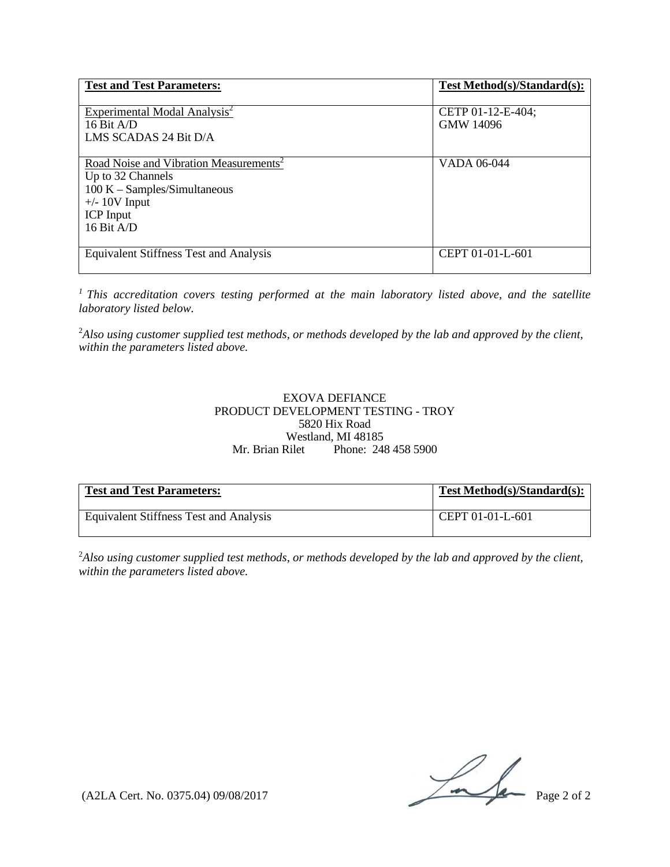| <b>Test and Test Parameters:</b>                                                                                                                                 | Test Method(s)/Standard(s):           |
|------------------------------------------------------------------------------------------------------------------------------------------------------------------|---------------------------------------|
| Experimental Modal Analysis <sup>2</sup><br>16 Bit $A/D$<br>LMS SCADAS 24 Bit D/A                                                                                | CETP 01-12-E-404;<br><b>GMW 14096</b> |
| Road Noise and Vibration Measurements <sup>2</sup><br>Up to 32 Channels<br>$100 K - Samples/Simultaneous$<br>$+/- 10V$ Input<br><b>ICP</b> Input<br>16 Bit $A/D$ | VADA 06-044                           |
| Equivalent Stiffness Test and Analysis                                                                                                                           | CEPT 01-01-L-601                      |

*1 This accreditation covers testing performed at the main laboratory listed above, and the satellite laboratory listed below.* 

2 *Also using customer supplied test methods, or methods developed by the lab and approved by the client, within the parameters listed above.*

#### EXOVA DEFIANCE PRODUCT DEVELOPMENT TESTING - TROY 5820 Hix Road Westland, MI 48185 Mr. Brian Rilet Phone: 248 458 5900

| <b>Test and Test Parameters:</b>       | Test Method(s)/Standard(s): |
|----------------------------------------|-----------------------------|
| Equivalent Stiffness Test and Analysis | CEPT 01-01-L-601            |

2 *Also using customer supplied test methods, or methods developed by the lab and approved by the client, within the parameters listed above.*

 $(A2LA$  Cert. No. 0375.04) 09/08/2017